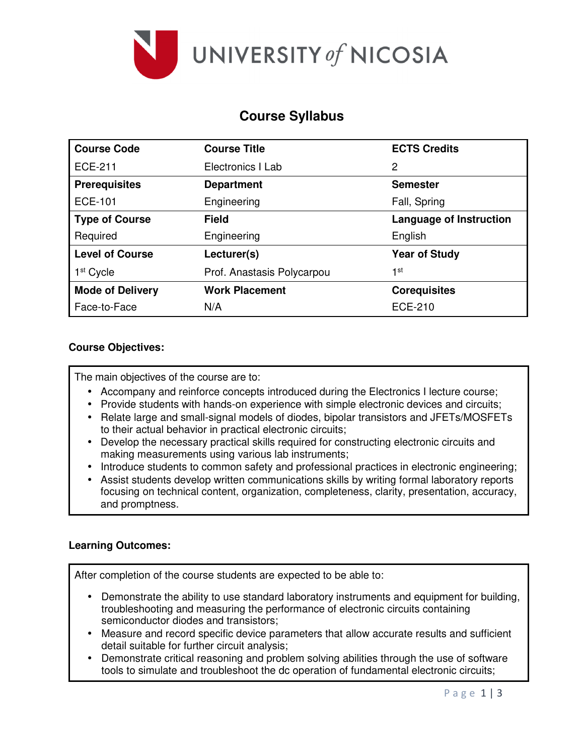

# **Course Syllabus**

| <b>Course Code</b>      | <b>Course Title</b>        | <b>ECTS Credits</b>            |  |  |
|-------------------------|----------------------------|--------------------------------|--|--|
| <b>ECE-211</b>          | Electronics I Lab          | 2                              |  |  |
| <b>Prerequisites</b>    | <b>Department</b>          | <b>Semester</b>                |  |  |
| <b>ECE-101</b>          | Engineering                | Fall, Spring                   |  |  |
| <b>Type of Course</b>   | <b>Field</b>               | <b>Language of Instruction</b> |  |  |
| Required                | Engineering                | English                        |  |  |
| <b>Level of Course</b>  | Lecturer(s)                | <b>Year of Study</b>           |  |  |
| 1 <sup>st</sup> Cycle   | Prof. Anastasis Polycarpou | 1st                            |  |  |
| <b>Mode of Delivery</b> | <b>Work Placement</b>      | <b>Corequisites</b>            |  |  |
| Face-to-Face            | N/A                        | <b>ECE-210</b>                 |  |  |

# **Course Objectives:**

The main objectives of the course are to:

- Accompany and reinforce concepts introduced during the Electronics I lecture course;
- Provide students with hands-on experience with simple electronic devices and circuits;
- Relate large and small-signal models of diodes, bipolar transistors and JFETs/MOSFETs to their actual behavior in practical electronic circuits;
- Develop the necessary practical skills required for constructing electronic circuits and making measurements using various lab instruments;
- Introduce students to common safety and professional practices in electronic engineering;
- Assist students develop written communications skills by writing formal laboratory reports focusing on technical content, organization, completeness, clarity, presentation, accuracy, and promptness.

# **Learning Outcomes:**

After completion of the course students are expected to be able to:

- Demonstrate the ability to use standard laboratory instruments and equipment for building, troubleshooting and measuring the performance of electronic circuits containing semiconductor diodes and transistors;
- Measure and record specific device parameters that allow accurate results and sufficient detail suitable for further circuit analysis;
- Demonstrate critical reasoning and problem solving abilities through the use of software tools to simulate and troubleshoot the dc operation of fundamental electronic circuits;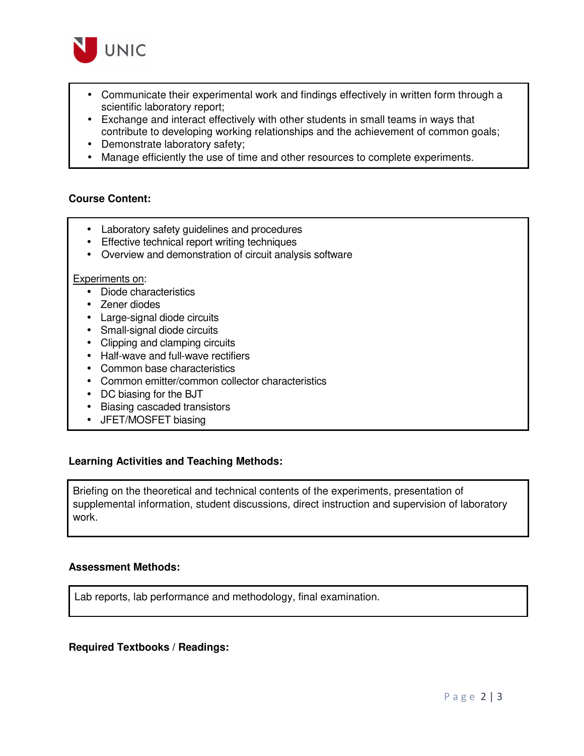

- Communicate their experimental work and findings effectively in written form through a scientific laboratory report;
- Exchange and interact effectively with other students in small teams in ways that contribute to developing working relationships and the achievement of common goals;
- Demonstrate laboratory safety;
- Manage efficiently the use of time and other resources to complete experiments.

## **Course Content:**

- Laboratory safety guidelines and procedures
- Effective technical report writing techniques
- Overview and demonstration of circuit analysis software

#### Experiments on:

- Diode characteristics
- Zener diodes
- Large-signal diode circuits
- Small-signal diode circuits
- Clipping and clamping circuits
- Half-wave and full-wave rectifiers
- Common base characteristics
- Common emitter/common collector characteristics
- DC biasing for the BJT
- Biasing cascaded transistors
- JFET/MOSFET biasing

## **Learning Activities and Teaching Methods:**

Briefing on the theoretical and technical contents of the experiments, presentation of supplemental information, student discussions, direct instruction and supervision of laboratory work.

## **Assessment Methods:**

Lab reports, lab performance and methodology, final examination.

## **Required Textbooks / Readings:**